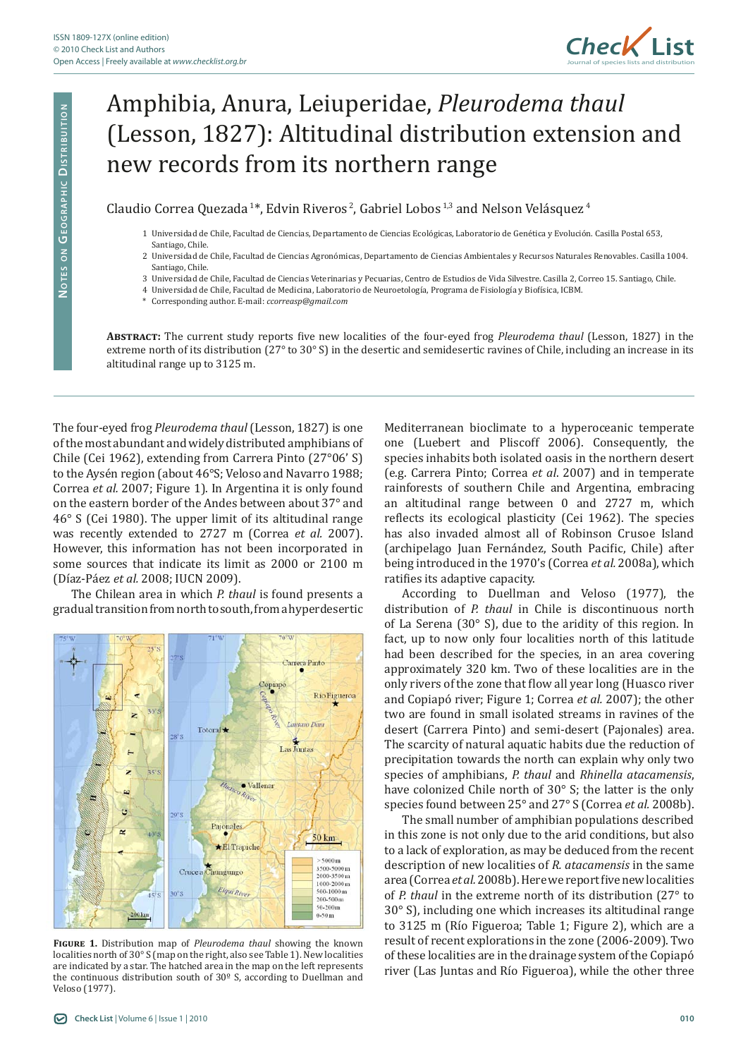

## Amphibia, Anura, Leiuperidae, *Pleurodema thaul* (Lesson, 1827): Altitudinal distribution extension and new records from its northern range

Claudio Correa Quezada<sup>1\*</sup>, Edvin Riveros<sup>2</sup>, Gabriel Lobos<sup>1,3</sup> and Nelson Velásquez<sup>4</sup>

- 1 Universidad de Chile, Facultad de Ciencias, Departamento de Ciencias Ecológicas, Laboratorio de Genética y Evolución. Casilla Postal 653, Santiago, Chile.
- 2 Universidad de Chile, Facultad de Ciencias Agronómicas, Departamento de Ciencias Ambientales y Recursos Naturales Renovables. Casilla 1004. Santiago, Chile.
- 3 Universidad de Chile, Facultad de Ciencias Veterinarias y Pecuarias, Centro de Estudios de Vida Silvestre. Casilla 2, Correo 15. Santiago, Chile.
- 4 Universidad de Chile, Facultad de Medicina, Laboratorio de Neuroetología, Programa de Fisiología y Biofísica, ICBM.
- \* Corresponding author. E-mail: *ccorreasp@gmail.com*

**Abstract:** The current study reports five new localities of the four-eyed frog *Pleurodema thaul* (Lesson, 1827) in the extreme north of its distribution (27° to 30° S) in the desertic and semidesertic ravines of Chile, including an increase in its altitudinal range up to 3125 m.

The four-eyed frog *Pleurodema thaul* (Lesson, 1827) is one of the most abundant and widely distributed amphibians of Chile (Cei 1962), extending from Carrera Pinto (27°06' S) to the Aysén region (about 46°S; Veloso and Navarro 1988; Correa *et al.* 2007; Figure 1). In Argentina it is only found on the eastern border of the Andes between about 37° and 46° S (Cei 1980). The upper limit of its altitudinal range was recently extended to 2727 m (Correa *et al.* 2007). However, this information has not been incorporated in some sources that indicate its limit as 2000 or 2100 m (Díaz-Páez *et al.* 2008; IUCN 2009).

The Chilean area in which *P. thaul* is found presents a gradual transition from north to south, from a hyperdesertic



**Figure 1.** Distribution map of *Pleurodema thaul* showing the known localities north of 30° S (map on the right, also see Table 1). New localities are indicated by a star. The hatched area in the map on the left represents the continuous distribution south of 30º S, according to Duellman and Veloso (1977).

Mediterranean bioclimate to a hyperoceanic temperate one (Luebert and Pliscoff 2006). Consequently, the species inhabits both isolated oasis in the northern desert (e.g. Carrera Pinto; Correa *et al*. 2007) and in temperate rainforests of southern Chile and Argentina, embracing an altitudinal range between 0 and 2727 m, which reflects its ecological plasticity (Cei 1962). The species has also invaded almost all of Robinson Crusoe Island (archipelago Juan Fernández, South Pacific, Chile) after being introduced in the 1970's (Correa *et al.* 2008a), which ratifies its adaptive capacity.

According to Duellman and Veloso (1977), the distribution of *P. thaul* in Chile is discontinuous north of La Serena (30° S), due to the aridity of this region. In fact, up to now only four localities north of this latitude had been described for the species, in an area covering approximately 320 km. Two of these localities are in the only rivers of the zone that flow all year long (Huasco river and Copiapó river; Figure 1; Correa *et al.* 2007); the other two are found in small isolated streams in ravines of the desert (Carrera Pinto) and semi-desert (Pajonales) area. The scarcity of natural aquatic habits due the reduction of precipitation towards the north can explain why only two species of amphibians, *P. thaul* and *Rhinella atacamensis*, have colonized Chile north of 30° S; the latter is the only species found between 25° and 27° S (Correa *et al.* 2008b).

The small number of amphibian populations described in this zone is not only due to the arid conditions, but also to a lack of exploration, as may be deduced from the recent description of new localities of *R. atacamensis* in the same area (Correa *et al.* 2008b). Here we report five new localities of *P. thaul* in the extreme north of its distribution (27° to 30° S), including one which increases its altitudinal range to 3125 m (Río Figueroa; Table 1; Figure 2), which are a result of recent explorations in the zone (2006-2009). Two of these localities are in the drainage system of the Copiapó river (Las Juntas and Río Figueroa), while the other three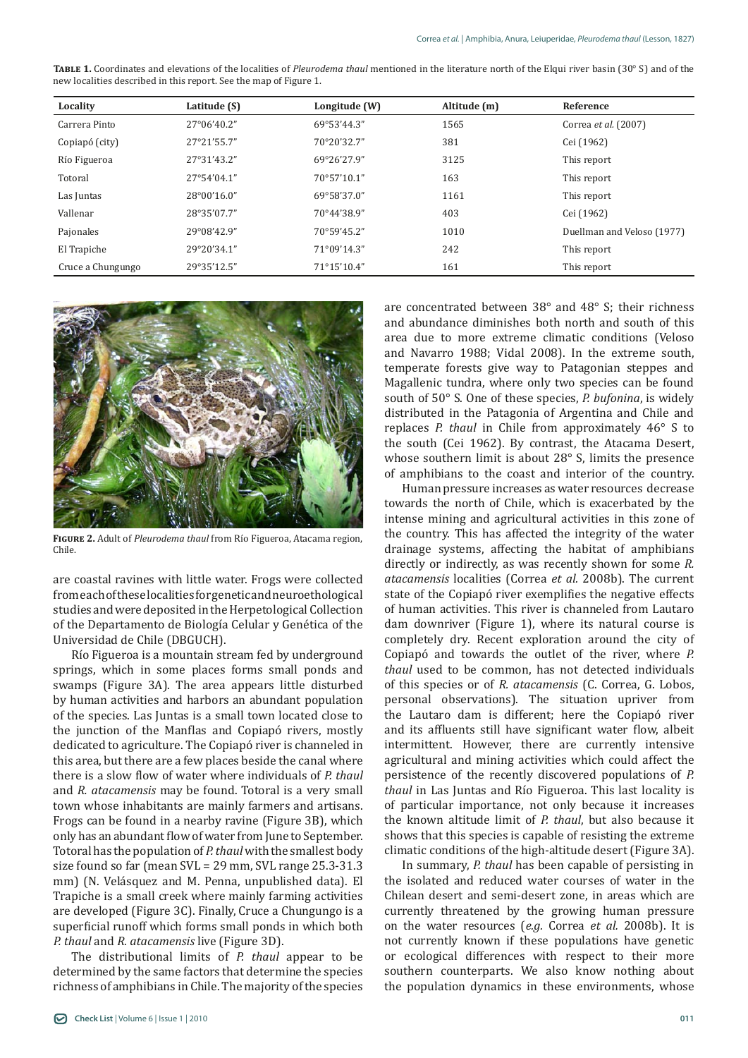| Locality          | Latitude (S)         | Longitude (W) | Altitude (m) | Reference                  |
|-------------------|----------------------|---------------|--------------|----------------------------|
| Carrera Pinto     | $27^{\circ}06'40.2"$ | 69°53'44.3"   | 1565         | Correa et al. (2007)       |
| Copiapó (city)    | 27°21'55.7"          | 70°20'32.7"   | 381          | Cei (1962)                 |
| Río Figueroa      | 27°31'43.2"          | 69°26'27.9"   | 3125         | This report                |
| Totoral           | 27°54'04.1"          | 70°57'10.1"   | 163          | This report                |
| Las Juntas        | 28°00'16.0"          | 69°58'37.0"   | 1161         | This report                |
| Vallenar          | 28°35'07.7"          | 70°44'38.9"   | 403          | Cei (1962)                 |
| Pajonales         | 29°08'42.9"          | 70°59'45.2"   | 1010         | Duellman and Veloso (1977) |
| El Trapiche       | 29°20'34.1"          | 71°09'14.3"   | 242          | This report                |
| Cruce a Chungungo | 29°35'12.5"          | 71°15'10.4"   | 161          | This report                |

**Table 1.** Coordinates and elevations of the localities of *Pleurodema thaul* mentioned in the literature north of the Elqui river basin (30° S) and of the new localities described in this report. See the map of Figure 1.



**Figure 2.** Adult of *Pleurodema thaul* from Río Figueroa, Atacama region, Chile.

are coastal ravines with little water. Frogs were collected from each of these localities for genetic and neuroethological studies and were deposited in the Herpetological Collection of the Departamento de Biología Celular y Genética of the Universidad de Chile (DBGUCH).

Río Figueroa is a mountain stream fed by underground springs, which in some places forms small ponds and swamps (Figure 3A). The area appears little disturbed by human activities and harbors an abundant population of the species. Las Juntas is a small town located close to the junction of the Manflas and Copiapó rivers, mostly dedicated to agriculture. The Copiapó river is channeled in this area, but there are a few places beside the canal where there is a slow flow of water where individuals of *P. thaul* and *R. atacamensis* may be found. Totoral is a very small town whose inhabitants are mainly farmers and artisans. Frogs can be found in a nearby ravine (Figure 3B), which only has an abundant flow of water from June to September. Totoral has the population of *P. thaul* with the smallest body size found so far (mean SVL = 29 mm, SVL range 25.3-31.3 mm) (N. Velásquez and M. Penna, unpublished data). El Trapiche is a small creek where mainly farming activities are developed (Figure 3C). Finally, Cruce a Chungungo is a superficial runoff which forms small ponds in which both *P. thaul* and *R. atacamensis* live (Figure 3D).

The distributional limits of *P. thaul* appear to be determined by the same factors that determine the species richness of amphibians in Chile. The majority of the species are concentrated between 38° and 48° S; their richness and abundance diminishes both north and south of this area due to more extreme climatic conditions (Veloso and Navarro 1988; Vidal 2008). In the extreme south, temperate forests give way to Patagonian steppes and Magallenic tundra, where only two species can be found south of 50° S. One of these species, *P. bufonina*, is widely distributed in the Patagonia of Argentina and Chile and replaces *P. thaul* in Chile from approximately 46° S to the south (Cei 1962). By contrast, the Atacama Desert, whose southern limit is about 28° S, limits the presence of amphibians to the coast and interior of the country.

Human pressure increases as water resources decrease towards the north of Chile, which is exacerbated by the intense mining and agricultural activities in this zone of the country. This has affected the integrity of the water drainage systems, affecting the habitat of amphibians directly or indirectly, as was recently shown for some *R. atacamensis* localities (Correa *et al.* 2008b). The current state of the Copiapó river exemplifies the negative effects of human activities. This river is channeled from Lautaro dam downriver (Figure 1), where its natural course is completely dry. Recent exploration around the city of Copiapó and towards the outlet of the river, where *P. thaul* used to be common, has not detected individuals of this species or of *R. atacamensis* (C. Correa, G. Lobos, personal observations). The situation upriver from the Lautaro dam is different; here the Copiapó river and its affluents still have significant water flow, albeit intermittent. However, there are currently intensive agricultural and mining activities which could affect the persistence of the recently discovered populations of *P. thaul* in Las Juntas and Río Figueroa. This last locality is of particular importance, not only because it increases the known altitude limit of *P. thaul*, but also because it shows that this species is capable of resisting the extreme climatic conditions of the high-altitude desert (Figure 3A).

In summary, *P. thaul* has been capable of persisting in the isolated and reduced water courses of water in the Chilean desert and semi-desert zone, in areas which are currently threatened by the growing human pressure on the water resources (*e.g.* Correa *et al.* 2008b). It is not currently known if these populations have genetic or ecological differences with respect to their more southern counterparts. We also know nothing about the population dynamics in these environments, whose